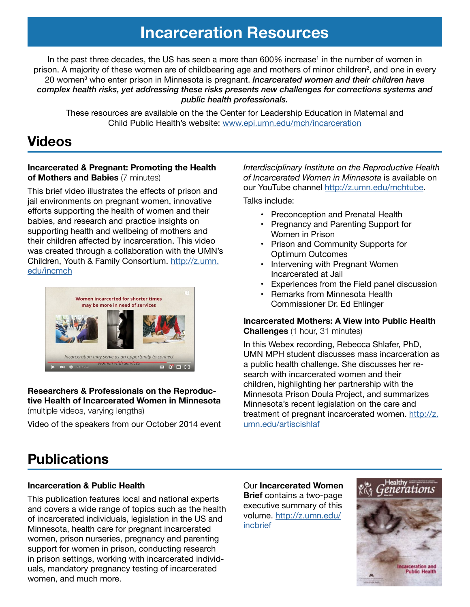# **Incarceration Resources**

In the past three decades, the US has seen a more than 600% increase<sup>1</sup> in the number of women in prison. A majority of these women are of childbearing age and mothers of minor children<sup>2</sup>, and one in every 20 women3 who enter prison in Minnesota is pregnant. *Incarcerated women and their children have complex health risks, yet addressing these risks presents new challenges for corrections systems and public health professionals.* 

These resources are available on the the Center for Leadership Education in Maternal and Child Public Health's website: [www.epi.umn.edu/mch/incarceration](http://www.epi.umn.edu/mch/incarceration)

## **Videos**

### **Incarcerated & Pregnant: Promoting the Health of Mothers and Babies** (7 minutes)

This brief video illustrates the effects of prison and jail environments on pregnant women, innovative efforts supporting the health of women and their babies, and research and practice insights on supporting health and wellbeing of mothers and their children affected by incarceration. This video was created through a collaboration with the UMN's Children, Youth & Family Consortium. [http://z.umn.](https://www.youtube.com/watch?v=IbJYzLMfn9M&feature=youtu.be) [edu/incmch](https://www.youtube.com/watch?v=IbJYzLMfn9M&feature=youtu.be)



## **Researchers & Professionals on the Reproductive Health of Incarcerated Women in Minnesota**

(multiple videos, varying lengths)

Video of the speakers from our October 2014 event

*Interdisciplinary Institute on the Reproductive Health of Incarcerated Women in Minnesota* is available on our YouTube channel [http://z.umn.edu/mchtube.](http://z.umn.edu/mchtube)

Talks include:

- Preconception and Prenatal Health
- Pregnancy and Parenting Support for Women in Prison
- Prison and Community Supports for Optimum Outcomes
- Intervening with Pregnant Women Incarcerated at Jail
- Experiences from the Field panel discussion
- Remarks from Minnesota Health Commissioner Dr. Ed Ehlinger

## **Incarcerated Mothers: A View into Public Health Challenges** (1 hour, 31 minutes)

In this Webex recording, Rebecca Shlafer, PhD, UMN MPH student discusses mass incarceration as a public health challenge. She discusses her research with incarcerated women and their children, highlighting her partnership with the Minnesota Prison Doula Project, and summarizes Minnesota's recent legislation on the care and treatment of pregnant incarcerated women. [http://z.](http://z.umn.edu/artiscishlaf) [umn.edu/artiscishlaf](http://z.umn.edu/artiscishlaf)

# **Publications**

## **Incarceration & Public Health**

This publication features local and national experts and covers a wide range of topics such as the health of incarcerated individuals, legislation in the US and Minnesota, health care for pregnant incarcerated women, prison nurseries, pregnancy and parenting support for women in prison, conducting research in prison settings, working with incarcerated individuals, mandatory pregnancy testing of incarcerated women, and much more.

Our **Incarcerated Women Brief** contains a two-page executive summary of this volume. [http://z.umn.edu/](http://z.umn.edu/incbrief) [incbrief](http://z.umn.edu/incbrief)